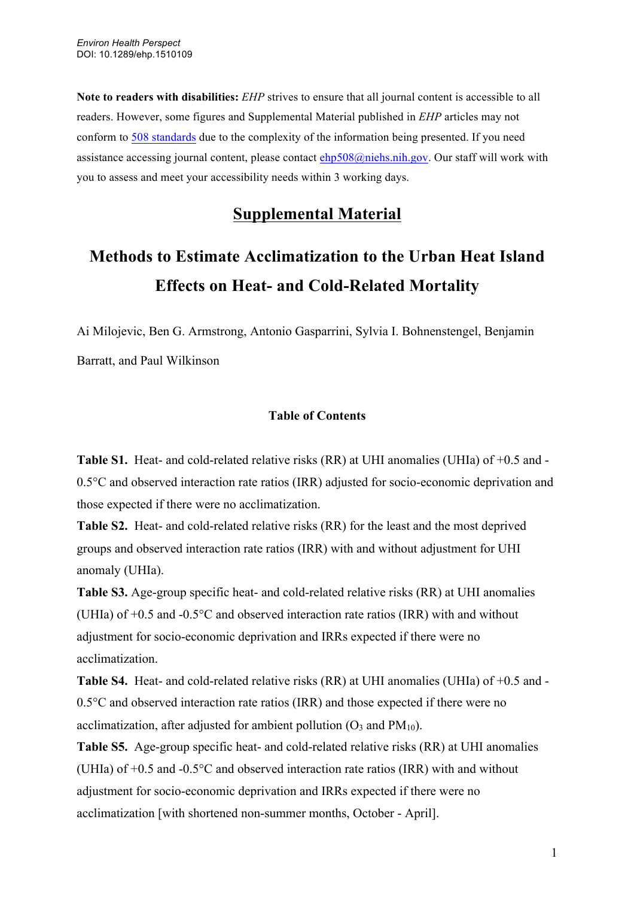**Note to readers with disabilities:** *EHP* strives to ensure that all journal content is accessible to all readers. However, some figures and Supplemental Material published in *EHP* articles may not conform to 508 standards due to the complexity of the information being presented. If you need assistance accessing journal content, please contact ehp508@niehs.nih.gov. Our staff will work with you to assess and meet your accessibility needs within 3 working days.

## **Supplemental Material**

## **Methods to Estimate Acclimatization to the Urban Heat Island Effects on Heat- and Cold-Related Mortality**

Ai Milojevic, Ben G. Armstrong, Antonio Gasparrini, Sylvia I. Bohnenstengel, Benjamin Barratt, and Paul Wilkinson

## **Table of Contents**

**Table S1.** Heat- and cold-related relative risks (RR) at UHI anomalies (UHIa) of +0.5 and - 0.5°C and observed interaction rate ratios (IRR) adjusted for socio-economic deprivation and those expected if there were no acclimatization.

**Table S2.** Heat- and cold-related relative risks (RR) for the least and the most deprived groups and observed interaction rate ratios (IRR) with and without adjustment for UHI anomaly (UHIa).

**Table S3.** Age-group specific heat- and cold-related relative risks (RR) at UHI anomalies (UHIa) of +0.5 and -0.5°C and observed interaction rate ratios (IRR) with and without adjustment for socio-economic deprivation and IRRs expected if there were no acclimatization.

**Table S4.** Heat- and cold-related relative risks (RR) at UHI anomalies (UHIa) of +0.5 and - 0.5°C and observed interaction rate ratios (IRR) and those expected if there were no acclimatization, after adjusted for ambient pollution  $(O_3$  and  $PM_{10}$ ).

**Table S5.** Age-group specific heat- and cold-related relative risks (RR) at UHI anomalies (UHIa) of +0.5 and -0.5°C and observed interaction rate ratios (IRR) with and without adjustment for socio-economic deprivation and IRRs expected if there were no acclimatization [with shortened non-summer months, October - April].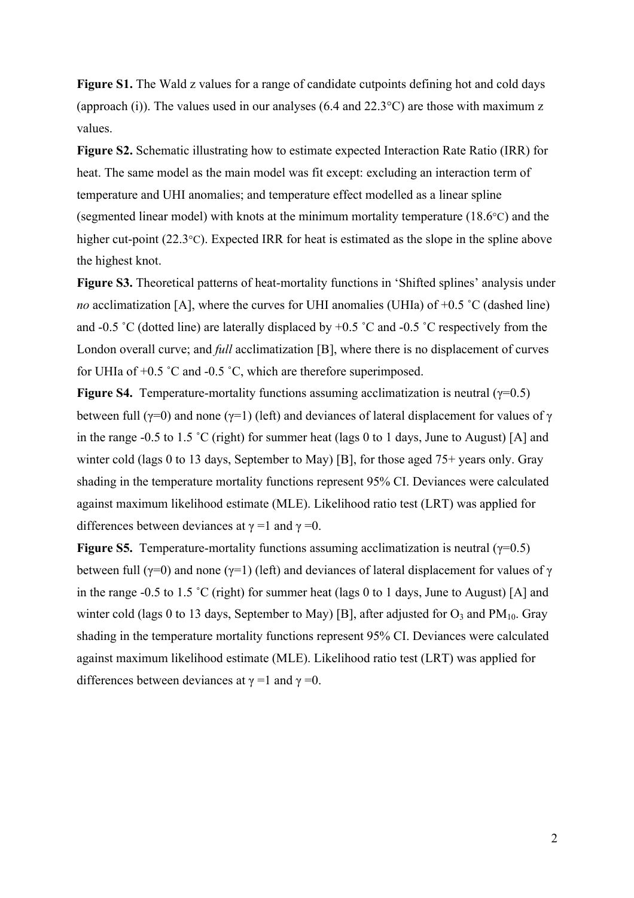**Figure S1.** The Wald z values for a range of candidate cutpoints defining hot and cold days (approach (i)). The values used in our analyses (6.4 and 22.3°C) are those with maximum z values.

**Figure S2.** Schematic illustrating how to estimate expected Interaction Rate Ratio (IRR) for heat. The same model as the main model was fit except: excluding an interaction term of temperature and UHI anomalies; and temperature effect modelled as a linear spline (segmented linear model) with knots at the minimum mortality temperature (18.6°C) and the higher cut-point (22.3°C). Expected IRR for heat is estimated as the slope in the spline above the highest knot.

**Figure S3.** Theoretical patterns of heat-mortality functions in 'Shifted splines' analysis under *no* acclimatization [A], where the curves for UHI anomalies (UHIa) of  $+0.5$  °C (dashed line) and -0.5 ˚C (dotted line) are laterally displaced by +0.5 ˚C and -0.5 ˚C respectively from the London overall curve; and *full* acclimatization [B], where there is no displacement of curves for UHIa of +0.5 ˚C and -0.5 ˚C, which are therefore superimposed.

**Figure S4.** Temperature-mortality functions assuming acclimatization is neutral ( $\gamma$ =0.5) between full ( $\gamma$ =0) and none ( $\gamma$ =1) (left) and deviances of lateral displacement for values of  $\gamma$ in the range -0.5 to 1.5 ˚C (right) for summer heat (lags 0 to 1 days, June to August) [A] and winter cold (lags 0 to 13 days, September to May) [B], for those aged 75+ years only. Gray shading in the temperature mortality functions represent 95% CI. Deviances were calculated against maximum likelihood estimate (MLE). Likelihood ratio test (LRT) was applied for differences between deviances at  $\gamma = 1$  and  $\gamma = 0$ .

**Figure S5.** Temperature-mortality functions assuming acclimatization is neutral ( $\gamma$ =0.5) between full ( $\gamma$ =0) and none ( $\gamma$ =1) (left) and deviances of lateral displacement for values of  $\gamma$ in the range -0.5 to 1.5 ˚C (right) for summer heat (lags 0 to 1 days, June to August) [A] and winter cold (lags 0 to 13 days, September to May) [B], after adjusted for  $O_3$  and  $PM_{10}$ . Gray shading in the temperature mortality functions represent 95% CI. Deviances were calculated against maximum likelihood estimate (MLE). Likelihood ratio test (LRT) was applied for differences between deviances at  $\gamma = 1$  and  $\gamma = 0$ .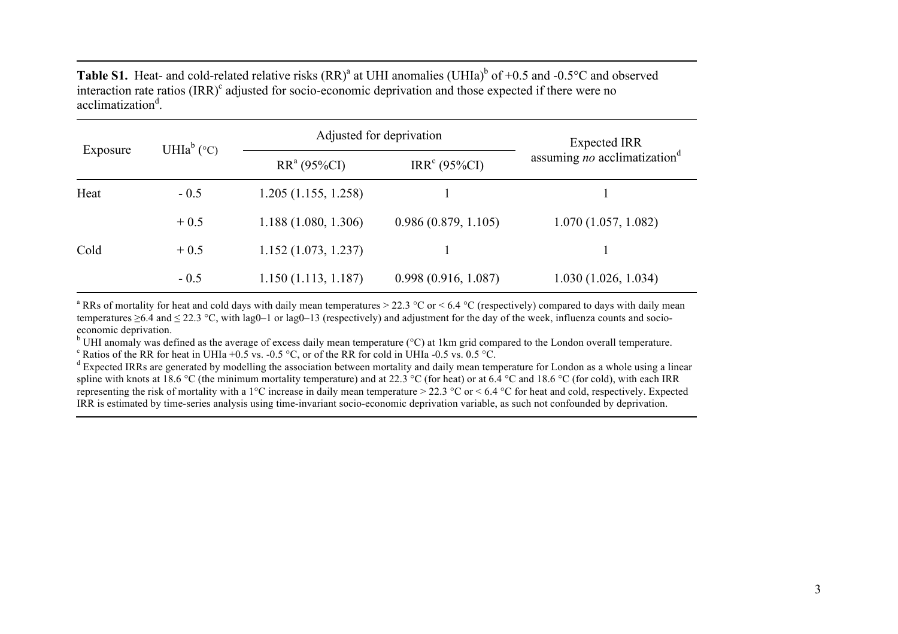**Table S1.** Heat- and cold-related relative risks  $(RR)^{a}$  at UHI anomalies (UHIa)<sup>b</sup> of +0.5 and -0.5°C and observed interaction rate ratios  $\text{(IRR)}^c$  adjusted for socio-economic deprivation and those expected if there were no acclimatization<sup>d</sup>.

| Exposure | UHIa <sup>b</sup> ( $^{\circ}$ C) | Adjusted for deprivation | <b>Expected IRR</b>      |                                                 |
|----------|-----------------------------------|--------------------------|--------------------------|-------------------------------------------------|
|          |                                   | $RR^a (95\%CI)$          | IRR <sup>c</sup> (95%CI) | assuming <i>no</i> acclimatization <sup>d</sup> |
| Heat     | $-0.5$                            | 1.205(1.155, 1.258)      |                          |                                                 |
|          | $+0.5$                            | 1.188(1.080, 1.306)      | 0.986(0.879, 1.105)      | 1.070(1.057, 1.082)                             |
| Cold     | $+0.5$                            | 1.152(1.073, 1.237)      |                          |                                                 |
|          | $-0.5$                            | 1.150(1.113, 1.187)      | 0.998(0.916, 1.087)      | 1.030(1.026, 1.034)                             |

<sup>a</sup> RRs of mortality for heat and cold days with daily mean temperatures  $> 22.3$  °C or  $< 6.4$  °C (respectively) compared to days with daily mean temperatures  $\geq$ 6.4 and  $\leq$  22.3 °C, with lag0–1 or lag0–13 (respectively) and adjustment for the day of the week, influenza counts and socio-economic deprivation.

<sup>b</sup> UHI anomaly was defined as the average of excess daily mean temperature (°C) at 1km grid compared to the London overall temperature.<br>
<sup>c</sup> Ratios of the RR for heat in UHIa +0.5 vs. -0.5 °C, or of the RR for cold in UH

spline with knots at 18.6 °C (the minimum mortality temperature) and at 22.3 °C (for heat) or at 6.4 °C and 18.6 °C (for cold), with each IRR representing the risk of mortality with a 1<sup>o</sup>C increase in daily mean temperature > 22.3 <sup>o</sup>C or < 6.4 <sup>o</sup>C for heat and cold, respectively. Expected IRR is estimated by time-series analysis using time-invariant socio-economic deprivation variable, as such not confounded by deprivation.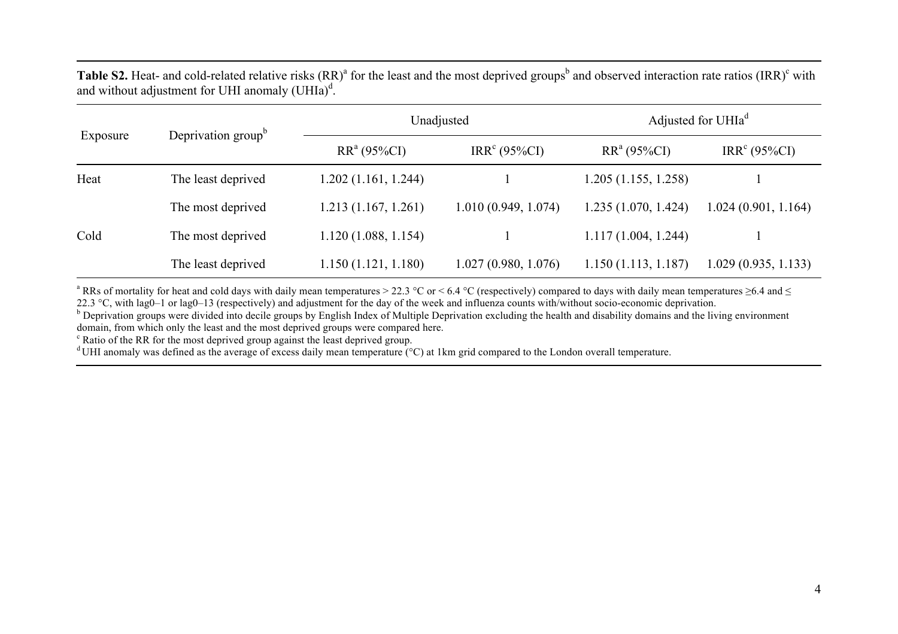Table S2. Heat- and cold-related relative risks (RR)<sup>a</sup> for the least and the most deprived groups<sup>b</sup> and observed interaction rate ratios (IRR)<sup>c</sup> with and without adjustment for UHI anomaly  $(UH Ia)^d$ .

| Exposure | Deprivation group <sup>b</sup> | Unadjusted          |                          | Adjusted for UHIa <sup>d</sup> |                          |
|----------|--------------------------------|---------------------|--------------------------|--------------------------------|--------------------------|
|          |                                | $RR^a (95\%CI)$     | IRR <sup>c</sup> (95%CI) | $RR^a (95\%CI)$                | IRR <sup>c</sup> (95%CI) |
| Heat     | The least deprived             | 1.202(1.161, 1.244) |                          | 1.205(1.155, 1.258)            |                          |
|          | The most deprived              | 1.213(1.167, 1.261) | 1.010(0.949, 1.074)      | 1.235(1.070, 1.424)            | 1.024(0.901, 1.164)      |
| Cold     | The most deprived              | 1.120(1.088, 1.154) |                          | 1.117(1.004, 1.244)            |                          |
|          | The least deprived             | 1.150(1.121, 1.180) | 1.027(0.980, 1.076)      | 1.150(1.113, 1.187)            | 1.029(0.935, 1.133)      |

<sup>a</sup> RRs of mortality for heat and cold days with daily mean temperatures > 22.3 °C or < 6.4 °C (respectively) compared to days with daily mean temperatures  $\geq$ 6.4 and  $\leq$ 22.3 °C, with lag0–1 or lag0–13 (respectively) and adjustment for the day of the week and influenza counts with/without socio-economic deprivation.

<sup>b</sup> Deprivation groups were divided into decile groups by English Index of Multiple Deprivation excluding the health and disability domains and the living environment domain, from which only the least and the most deprived

 $\degree$  Ratio of the RR for the most deprived group against the least deprived group.

<sup>d</sup> UHI anomaly was defined as the average of excess daily mean temperature  $(\degree C)$  at 1km grid compared to the London overall temperature.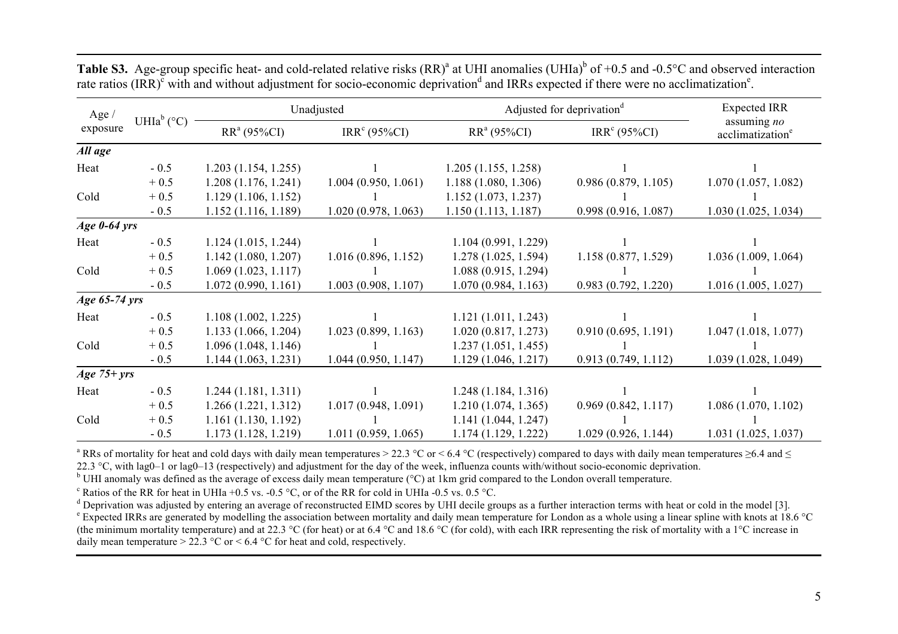| Age $/$<br>exposure | UHIa <sup>b</sup> ( $^{\circ}$ C) | Unadjusted          |                          | Adjusted for deprivation <sup>d</sup> |                          | <b>Expected IRR</b>                         |
|---------------------|-----------------------------------|---------------------|--------------------------|---------------------------------------|--------------------------|---------------------------------------------|
|                     |                                   | $RR^a(95\%CI)$      | IRR <sup>c</sup> (95%CI) | $RR^a (95\%CI)$                       | IRR <sup>c</sup> (95%CI) | assuming no<br>acclimatization <sup>e</sup> |
| All age             |                                   |                     |                          |                                       |                          |                                             |
| Heat                | $-0.5$                            | 1.203(1.154, 1.255) |                          | 1.205(1.155, 1.258)                   |                          |                                             |
|                     | $+0.5$                            | 1.208(1.176, 1.241) | 1.004(0.950, 1.061)      | 1.188(1.080, 1.306)                   | 0.986(0.879, 1.105)      | 1.070(1.057, 1.082)                         |
| Cold                | $+0.5$                            | 1.129(1.106, 1.152) |                          | 1.152(1.073, 1.237)                   |                          |                                             |
|                     | $-0.5$                            | 1.152(1.116, 1.189) | 1.020(0.978, 1.063)      | 1.150(1.113, 1.187)                   | 0.998(0.916, 1.087)      | 1.030(1.025, 1.034)                         |
| Age $0-64$ yrs      |                                   |                     |                          |                                       |                          |                                             |
| Heat                | $-0.5$                            | 1.124(1.015, 1.244) |                          | 1.104(0.991, 1.229)                   |                          |                                             |
|                     | $+0.5$                            | 1.142(1.080, 1.207) | 1.016(0.896, 1.152)      | 1.278(1.025, 1.594)                   | 1.158(0.877, 1.529)      | 1.036(1.009, 1.064)                         |
| Cold                | $+0.5$                            | 1.069(1.023, 1.117) |                          | 1.088(0.915, 1.294)                   |                          |                                             |
|                     | $-0.5$                            | 1.072(0.990, 1.161) | 1.003(0.908, 1.107)      | 1.070(0.984, 1.163)                   | 0.983(0.792, 1.220)      | 1.016 (1.005, 1.027)                        |
| Age 65-74 yrs       |                                   |                     |                          |                                       |                          |                                             |
| Heat                | $-0.5$                            | 1.108(1.002, 1.225) |                          | 1.121(1.011, 1.243)                   |                          |                                             |
|                     | $+0.5$                            | 1.133(1.066, 1.204) | 1.023(0.899, 1.163)      | 1.020(0.817, 1.273)                   | 0.910(0.695, 1.191)      | 1.047(1.018, 1.077)                         |
| Cold                | $+0.5$                            | 1.096(1.048, 1.146) |                          | 1.237(1.051, 1.455)                   |                          |                                             |
|                     | $-0.5$                            | 1.144(1.063, 1.231) | 1.044(0.950, 1.147)      | 1.129(1.046, 1.217)                   | 0.913(0.749, 1.112)      | 1.039(1.028, 1.049)                         |
| Age $75+ yrs$       |                                   |                     |                          |                                       |                          |                                             |
| Heat                | $-0.5$                            | 1.244(1.181, 1.311) |                          | 1.248(1.184, 1.316)                   |                          |                                             |
|                     | $+0.5$                            | 1.266(1.221, 1.312) | 1.017(0.948, 1.091)      | 1.210(1.074, 1.365)                   | 0.969(0.842, 1.117)      | 1.086(1.070, 1.102)                         |
| Cold                | $+0.5$                            | 1.161(1.130, 1.192) |                          | 1.141(1.044, 1.247)                   |                          |                                             |
|                     | $-0.5$                            | 1.173(1.128, 1.219) | 1.011(0.959, 1.065)      | 1.174(1.129, 1.222)                   | 1.029(0.926, 1.144)      | 1.031(1.025, 1.037)                         |

**Table S3.** Age-group specific heat- and cold-related relative risks  $(RR)^{a}$  at UHI anomalies (UHIa)<sup>b</sup> of +0.5 and -0.5°C and observed interaction rate ratios (IRR)<sup>c</sup> with and without adjustment for socio-economic deprivation<sup>d</sup> and IRRs expected if there were no acclimatization<sup>e</sup>.

<sup>a</sup> RRs of mortality for heat and cold days with daily mean temperatures > 22.3 °C or < 6.4 °C (respectively) compared to days with daily mean temperatures  $\geq$ 6.4 and  $\leq$ 22.3 °C, with lag0–1 or lag0–13 (respectively) and adjustment for the day of the week, influenza counts with/without socio-economic deprivation.

<sup>b</sup> UHI anomaly was defined as the average of excess daily mean temperature (°C) at 1km grid compared to the London overall temperature.

<sup>c</sup> Ratios of the RR for heat in UHIa +0.5 vs. -0.5 °C, or of the RR for cold in UHIa -0.5 vs. 0.5 °C.<br><sup>d</sup> Deprivation was adjusted by entering an average of reconstructed EIMD scores by UHI decile groups as a further int

<sup>e</sup> Expected IRRs are generated by modelling the association between mortality and daily mean temperature for London as a whole using a linear spline with knots at 18.6 °C (the minimum mortality temperature) and at 22.3 °C (for heat) or at 6.4 °C and 18.6 °C (for cold), with each IRR representing the risk of mortality with a 1 °C increase in daily mean temperature  $> 22.3$  °C or  $< 6.4$  °C for heat and cold, respectively.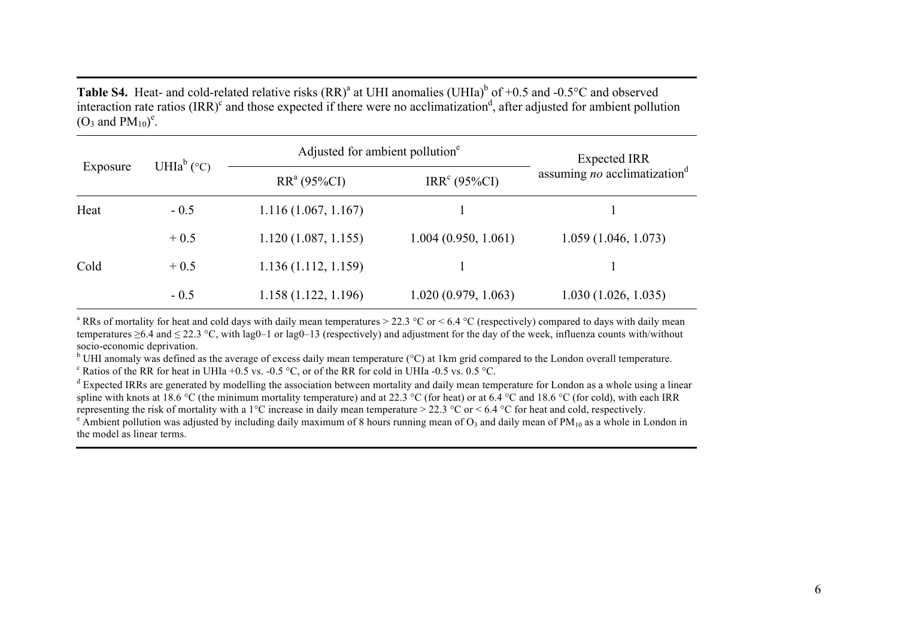**Table S4.** Heat- and cold-related relative risks  $(RR)^{a}$  at UHI anomalies (UHIa)<sup>b</sup> of +0.5 and -0.5°C and observed interaction rate ratios  $\text{(IRR)}^c$  and those expected if there were no acclimatization<sup>d</sup>, after adjusted for ambient pollution  $(O_3 \text{ and } PM_{10})^e$ .

| Exposure |                                   | Adjusted for ambient pollution <sup>e</sup> | <b>Expected IRR</b>      |                                                 |
|----------|-----------------------------------|---------------------------------------------|--------------------------|-------------------------------------------------|
|          | UHIa <sup>b</sup> ( $^{\circ}$ C) | $RR^a(95\%CI)$                              | IRR <sup>c</sup> (95%CI) | assuming <i>no</i> acclimatization <sup>d</sup> |
| Heat     | $-0.5$                            | 1.116(1.067, 1.167)                         |                          |                                                 |
|          | $+0.5$                            | 1.120(1.087, 1.155)                         | 1.004(0.950, 1.061)      | 1.059(1.046, 1.073)                             |
| Cold     | $+0.5$                            | 1.136(1.112, 1.159)                         |                          |                                                 |
|          | $-0.5$                            | 1.158(1.122, 1.196)                         | 1.020(0.979, 1.063)      | 1.030(1.026, 1.035)                             |

<sup>a</sup> RRs of mortality for heat and cold days with daily mean temperatures  $>$  22.3 °C or  $<$  6.4 °C (respectively) compared to days with daily mean temperatures  $\geq 6.4$  and  $\leq 22.3$  °C, with lag0–1 or lag0–13 (respectively) and adjustment for the day of the week, influenza counts with/without socio-economic deprivation.

<sup>b</sup> UHI anomaly was defined as the average of excess daily mean temperature (°C) at 1km grid compared to the London overall temperature.<br><sup>c</sup> Ratios of the RR for heat in UHIa +0.5 vs. -0.5 °C, or of the RR for cold in UHI

 $d$  Expected IRRs are generated by modelling the association between mortality and daily mean temperature for London as a whole using a linear spline with knots at 18.6 °C (the minimum mortality temperature) and at 22.3 °C (for heat) or at 6.4 °C and 18.6 °C (for cold), with each IRR representing the risk of mortality with a 1°C increase in daily mean temperatur

 $\degree$  Ambient pollution was adjusted by including daily maximum of 8 hours running mean of  $O_3$  and daily mean of PM<sub>10</sub> as a whole in London in the model as linear terms.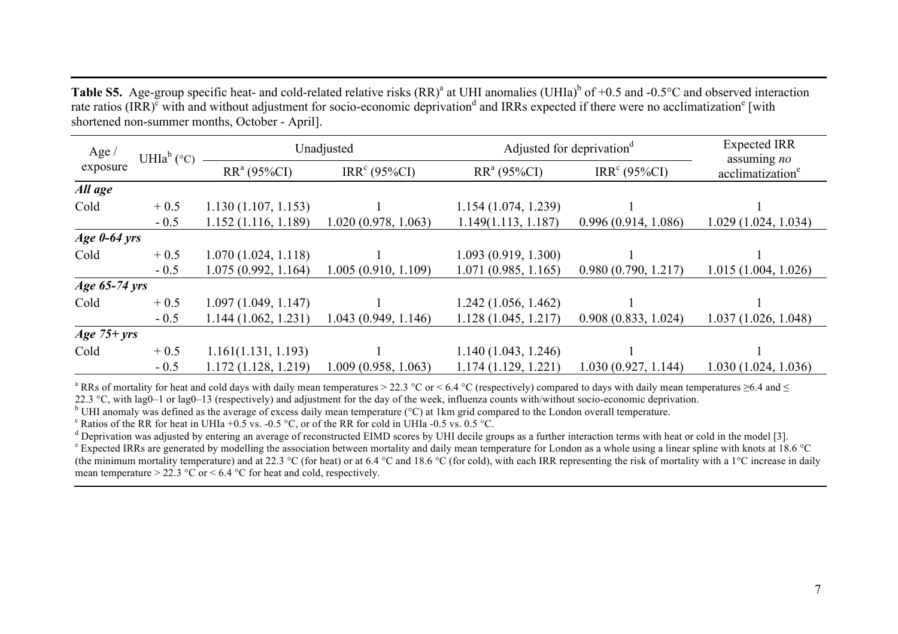**Table S5.** Age-group specific heat- and cold-related relative risks  $(RR)^{a}$  at UHI anomalies (UHIa)<sup>b</sup> of +0.5 and -0.5°C and observed interaction rate ratios (IRR) $c$  with and without adjustment for socio-economic deprivation<sup>d</sup> and IRRs expected if there were no acclimatization<sup>e</sup> [with shortened non-summer months, October - April].

| Age $/$        | UHIa <sup>b</sup> (°C) | Unadjusted          |                          | Adjusted for deprivation <sup>d</sup> |                          | <b>Expected IRR</b>                         |
|----------------|------------------------|---------------------|--------------------------|---------------------------------------|--------------------------|---------------------------------------------|
| exposure       |                        | $RR^a (95\%CI)$     | IRR <sup>c</sup> (95%CI) | $RR^a (95\%CI)$                       | IRR <sup>c</sup> (95%CI) | assuming no<br>acclimatization <sup>e</sup> |
| All age        |                        |                     |                          |                                       |                          |                                             |
| Cold           | $+0.5$                 | 1.130(1.107, 1.153) |                          | 1.154(1.074, 1.239)                   |                          |                                             |
|                | $-0.5$                 | 1.152(1.116, 1.189) | 1.020(0.978, 1.063)      | 1.149(1.113, 1.187)                   | 0.996(0.914, 1.086)      | 1.029(1.024, 1.034)                         |
| Age $0-64$ yrs |                        |                     |                          |                                       |                          |                                             |
| Cold           | $+0.5$                 | 1.070(1.024, 1.118) |                          | 1.093(0.919, 1.300)                   |                          |                                             |
|                | $-0.5$                 | 1.075(0.992, 1.164) | 1.005(0.910, 1.109)      | 1.071(0.985, 1.165)                   | 0.980(0.790, 1.217)      | 1.015(1.004, 1.026)                         |
| Age 65-74 yrs  |                        |                     |                          |                                       |                          |                                             |
| Cold           | $+0.5$                 | 1.097(1.049, 1.147) |                          | 1.242(1.056, 1.462)                   |                          |                                             |
|                | $-0.5$                 | 1.144(1.062, 1.231) | 1.043(0.949, 1.146)      | 1.128(1.045, 1.217)                   | 0.908(0.833, 1.024)      | 1.037(1.026, 1.048)                         |
| Age $75+ yrs$  |                        |                     |                          |                                       |                          |                                             |
| Cold           | $+0.5$                 | 1.161(1.131, 1.193) |                          | 1.140(1.043, 1.246)                   |                          |                                             |
|                | $-0.5$                 | 1.172(1.128, 1.219) | 1.009(0.958, 1.063)      | 1.174(1.129, 1.221)                   | 1.030(0.927, 1.144)      | 1.030(1.024, 1.036)                         |

<sup>a</sup> RRs of mortality for heat and cold days with daily mean temperatures > 22.3 °C or < 6.4 °C (respectively) compared to days with daily mean temperatures  $\geq$ 6.4 and  $\leq$ 22.3 °C, with lag0–1 or lag0–13 (respectively) and adjustment for the day of the week, influenza counts with/without socio-economic deprivation.

<sup>b</sup> UHI anomaly was defined as the average of excess daily mean temperature (°C) at 1km grid compared to the London overall temperature.<br><sup>c</sup> Ratios of the RR for heat in UHIa +0.5 vs. -0.5 °C, or of the RR for cold in UHI

<sup>e</sup> Expected IRRs are generated by modelling the association between mortality and daily mean temperature for London as a whole using a linear spline with knots at 18.6 °C (the minimum mortality temperature) and at 22.3 °C (for heat) or at 6.4 °C and 18.6 °C (for cold), with each IRR representing the risk of mortality with a 1 °C increase in daily mean temperature  $> 22.3 \text{ °C}$  or  $< 6.4 \text{ °C}$  for heat and cold, respectively.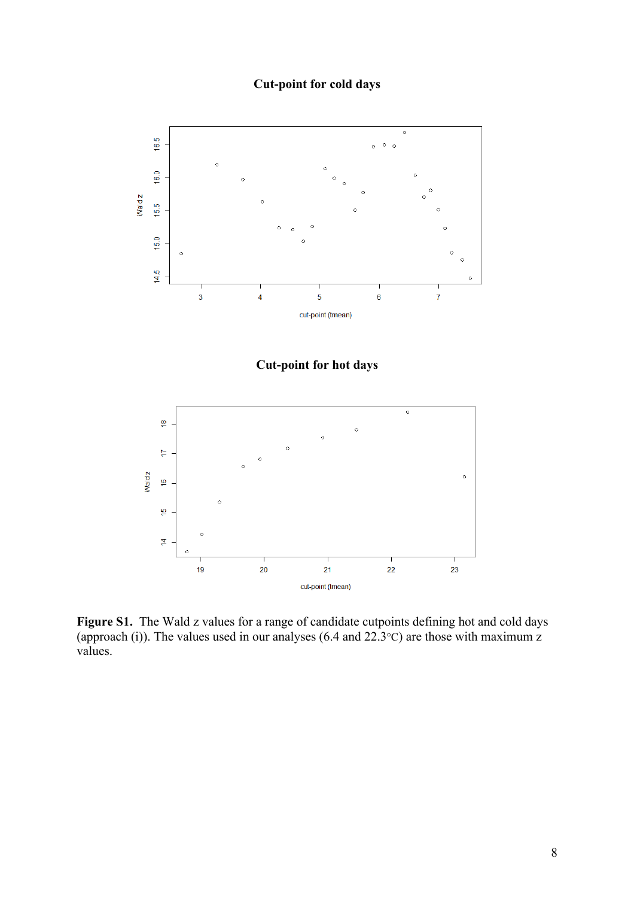## **Cut-point for cold days**



Figure S1. The Wald z values for a range of candidate cutpoints defining hot and cold days (approach (i)). The values used in our analyses (6.4 and  $22.3^{\circ}$ C) are those with maximum z values.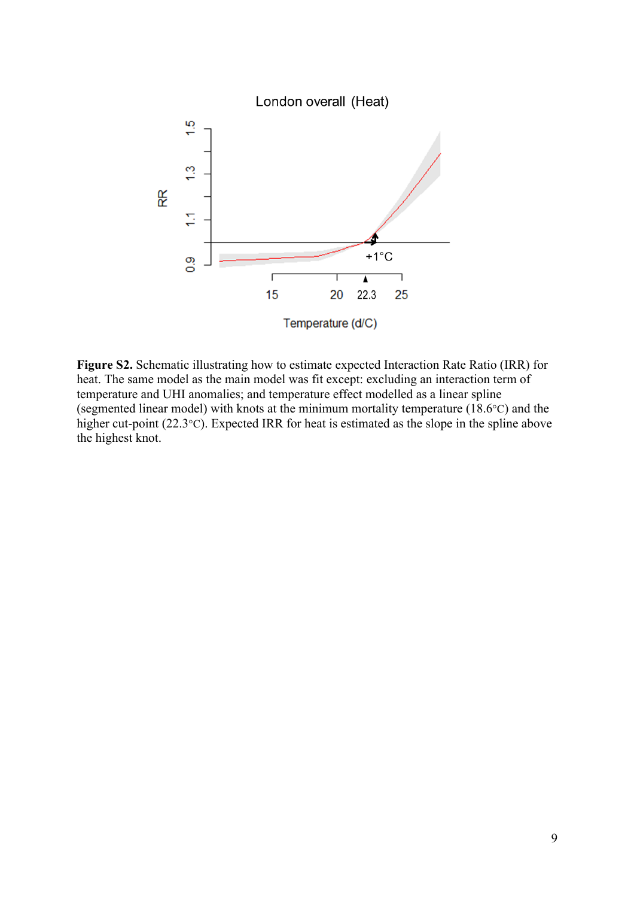

**Figure S2.** Schematic illustrating how to estimate expected Interaction Rate Ratio (IRR) for heat. The same model as the main model was fit except: excluding an interaction term of temperature and UHI anomalies; and temperature effect modelled as a linear spline (segmented linear model) with knots at the minimum mortality temperature (18.6°C) and the higher cut-point (22.3°C). Expected IRR for heat is estimated as the slope in the spline above the highest knot.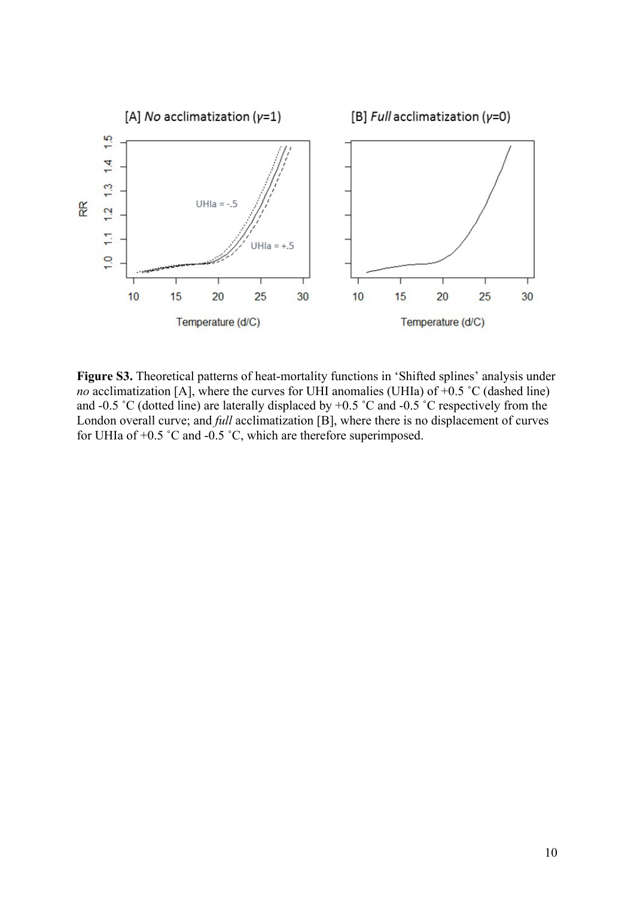

**Figure S3.** Theoretical patterns of heat-mortality functions in 'Shifted splines' analysis under *no* acclimatization [A], where the curves for UHI anomalies (UHIa) of +0.5 °C (dashed line) and -0.5 ˚C (dotted line) are laterally displaced by +0.5 ˚C and -0.5 ˚C respectively from the London overall curve; and *full* acclimatization [B], where there is no displacement of curves for UHIa of +0.5 ˚C and -0.5 ˚C, which are therefore superimposed.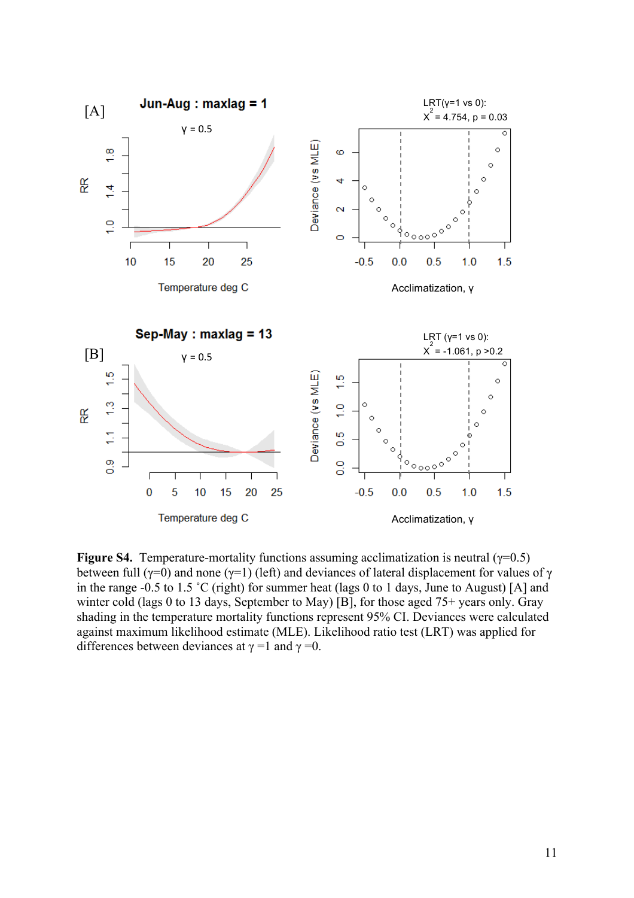

**Figure S4.** Temperature-mortality functions assuming acclimatization is neutral ( $\gamma$ =0.5) between full ( $\gamma$ =0) and none ( $\gamma$ =1) (left) and deviances of lateral displacement for values of  $\gamma$ in the range -0.5 to 1.5 ˚C (right) for summer heat (lags 0 to 1 days, June to August) [A] and winter cold (lags 0 to 13 days, September to May) [B], for those aged 75+ years only. Gray shading in the temperature mortality functions represent 95% CI. Deviances were calculated against maximum likelihood estimate (MLE). Likelihood ratio test (LRT) was applied for differences between deviances at  $\gamma = 1$  and  $\gamma = 0$ .